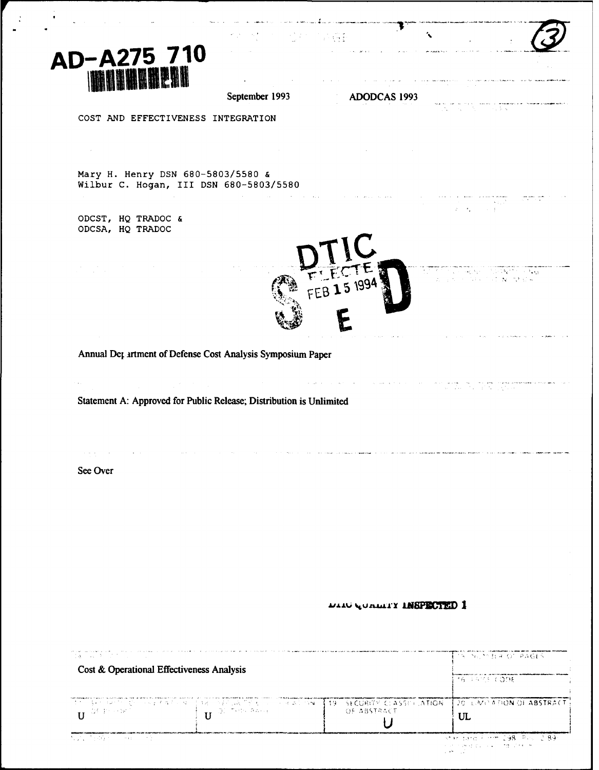

 $\mathbb{R}^2$ 

|                                                                                                                                                                                                     | $\label{eq:2.1} \frac{1}{2} \left( \frac{1}{2} \frac{1}{2} \frac{1}{2} \left( \frac{1}{2} \frac{1}{2} \frac{1}{2} \right) - \frac{1}{2} \left( \frac{1}{2} \frac{1}{2} \frac{1}{2} \frac{1}{2} \right) - \frac{1}{2} \left( \frac{1}{2} \frac{1}{2} \frac{1}{2} \frac{1}{2} \frac{1}{2} \frac{1}{2} \right) \right)$                                                                                                                                        |                                                                                                                                    |                                                                                                                                                                                                                                                                                        |
|-----------------------------------------------------------------------------------------------------------------------------------------------------------------------------------------------------|-------------------------------------------------------------------------------------------------------------------------------------------------------------------------------------------------------------------------------------------------------------------------------------------------------------------------------------------------------------------------------------------------------------------------------------------------------------|------------------------------------------------------------------------------------------------------------------------------------|----------------------------------------------------------------------------------------------------------------------------------------------------------------------------------------------------------------------------------------------------------------------------------------|
| D-A275 710                                                                                                                                                                                          |                                                                                                                                                                                                                                                                                                                                                                                                                                                             |                                                                                                                                    |                                                                                                                                                                                                                                                                                        |
| <b>WARRENT</b>                                                                                                                                                                                      | September 1993                                                                                                                                                                                                                                                                                                                                                                                                                                              | $\mathcal{L}^{\mathcal{L}}(\mathcal{A})=\mathcal{A}(\mathcal{A})$ . Since each $\mathcal{A}(\mathcal{A})$<br>ADODCAS 1993          | ala ke samu mengengkunan di <mark>mana</mark> ka kan kalaka kal <mark>awa k</mark> ala k<br>Sebagai terbahan di pengantan                                                                                                                                                              |
| COST AND EFFECTIVENESS INTEGRATION                                                                                                                                                                  |                                                                                                                                                                                                                                                                                                                                                                                                                                                             |                                                                                                                                    |                                                                                                                                                                                                                                                                                        |
| $\sim 100$                                                                                                                                                                                          |                                                                                                                                                                                                                                                                                                                                                                                                                                                             |                                                                                                                                    |                                                                                                                                                                                                                                                                                        |
| Mary H. Henry DSN 680-5803/5580 &                                                                                                                                                                   | Wilbur C. Hogan, III DSN 680-5803/5580                                                                                                                                                                                                                                                                                                                                                                                                                      |                                                                                                                                    |                                                                                                                                                                                                                                                                                        |
|                                                                                                                                                                                                     |                                                                                                                                                                                                                                                                                                                                                                                                                                                             |                                                                                                                                    | $\label{eq:2.1} \begin{split} \mathcal{L}_{\text{max}}(\mathbf{r}) = \mathcal{L}_{\text{max}}(\mathbf{r}) \mathcal{L}_{\text{max}}(\mathbf{r}) \,,\\ \mathcal{L}_{\text{max}}(\mathbf{r}) = \mathcal{L}_{\text{max}}(\mathbf{r}) \mathcal{L}_{\text{max}}(\mathbf{r}) \,, \end{split}$ |
| ODCST, HQ TRADOC &<br>ODCSA, HQ TRADOC                                                                                                                                                              |                                                                                                                                                                                                                                                                                                                                                                                                                                                             |                                                                                                                                    |                                                                                                                                                                                                                                                                                        |
|                                                                                                                                                                                                     |                                                                                                                                                                                                                                                                                                                                                                                                                                                             | FEB 15 1994                                                                                                                        | tin film og eksperimenter er før.<br>Till de genere har en det byenteret er                                                                                                                                                                                                            |
|                                                                                                                                                                                                     |                                                                                                                                                                                                                                                                                                                                                                                                                                                             |                                                                                                                                    |                                                                                                                                                                                                                                                                                        |
|                                                                                                                                                                                                     |                                                                                                                                                                                                                                                                                                                                                                                                                                                             |                                                                                                                                    |                                                                                                                                                                                                                                                                                        |
|                                                                                                                                                                                                     | Annual Det artment of Defense Cost Analysis Symposium Paper                                                                                                                                                                                                                                                                                                                                                                                                 |                                                                                                                                    |                                                                                                                                                                                                                                                                                        |
| $\label{eq:2.1} \mathcal{L}(\mathcal{L}) = \frac{1}{2} \sum_{i=1}^n \mathcal{L}(\mathcal{L}) \mathcal{L}(\mathcal{L}) = \frac{1}{2} \sum_{i=1}^n \mathcal{L}(\mathcal{L}) \mathcal{L}(\mathcal{L})$ | $\mathcal{L}(\mathcal{L}(\mathcal{L}(\mathcal{L}(\mathcal{L}(\mathcal{L}(\mathcal{L}(\mathcal{L}(\mathcal{L}(\mathcal{L}(\mathcal{L}(\mathcal{L}(\mathcal{L}(\mathcal{L}(\mathcal{L}(\mathcal{L}(\mathcal{L}(\mathcal{L}(\mathcal{L}(\mathcal{L}(\mathcal{L}(\mathcal{L}(\mathcal{L}(\mathcal{L}(\mathcal{L}(\mathcal{L}(\mathcal{L}(\mathcal{L}(\mathcal{L}(\mathcal{L}(\mathcal{L}(\mathcal{L}(\mathcal{L}(\mathcal{L}(\mathcal{L}(\mathcal{L}(\mathcal{$ | $\mathcal{A}_\mathcal{C}$ is a subset of the set of the set of $\mathcal{A}_\mathcal{C}$                                           | $\frac{1}{2}$ is a constant of the space of the constant contains and the space of the constant of the constant $\frac{1}{2}$ , $\frac{1}{2}$ , $\frac{1}{2}$ , $\frac{1}{2}$ , $\frac{1}{2}$ , $\frac{1}{2}$                                                                          |
|                                                                                                                                                                                                     | Statement A: Approved for Public Release; Distribution is Unlimited                                                                                                                                                                                                                                                                                                                                                                                         |                                                                                                                                    |                                                                                                                                                                                                                                                                                        |
|                                                                                                                                                                                                     |                                                                                                                                                                                                                                                                                                                                                                                                                                                             |                                                                                                                                    |                                                                                                                                                                                                                                                                                        |
| See Over                                                                                                                                                                                            |                                                                                                                                                                                                                                                                                                                                                                                                                                                             | .<br>2006 - Carl Contract Company (1996) - Contract Contract Company of the Company of Contract Company of Contract Company (1997) |                                                                                                                                                                                                                                                                                        |
|                                                                                                                                                                                                     |                                                                                                                                                                                                                                                                                                                                                                                                                                                             |                                                                                                                                    |                                                                                                                                                                                                                                                                                        |
|                                                                                                                                                                                                     |                                                                                                                                                                                                                                                                                                                                                                                                                                                             |                                                                                                                                    |                                                                                                                                                                                                                                                                                        |
|                                                                                                                                                                                                     |                                                                                                                                                                                                                                                                                                                                                                                                                                                             |                                                                                                                                    |                                                                                                                                                                                                                                                                                        |
|                                                                                                                                                                                                     |                                                                                                                                                                                                                                                                                                                                                                                                                                                             |                                                                                                                                    |                                                                                                                                                                                                                                                                                        |
|                                                                                                                                                                                                     |                                                                                                                                                                                                                                                                                                                                                                                                                                                             |                                                                                                                                    |                                                                                                                                                                                                                                                                                        |
|                                                                                                                                                                                                     |                                                                                                                                                                                                                                                                                                                                                                                                                                                             | <b>DITO COURTA TREBECIED 1</b>                                                                                                     |                                                                                                                                                                                                                                                                                        |
| ia sa P                                                                                                                                                                                             |                                                                                                                                                                                                                                                                                                                                                                                                                                                             |                                                                                                                                    | STACHER OF PAGES                                                                                                                                                                                                                                                                       |
| Cost & Operational Effectiveness Analysis                                                                                                                                                           |                                                                                                                                                                                                                                                                                                                                                                                                                                                             |                                                                                                                                    | 16 3355 CODE                                                                                                                                                                                                                                                                           |
| a Mari<br>家長 かいはみか<br>しょくえきさん                                                                                                                                                                       | 计接口 医乳头病病 医抗原性心病<br><b>Selection Control</b>                                                                                                                                                                                                                                                                                                                                                                                                                | <b>ISP SECURITY CLASSE LATION</b>                                                                                                  | 20 LANS A TION OF ABSTRACT.                                                                                                                                                                                                                                                            |
| $\mathbf{U}^{(\text{Diff-1})\times \text{Diff}}$                                                                                                                                                    | Districts base<br>$\mathbf{U}$                                                                                                                                                                                                                                                                                                                                                                                                                              | OF ABSTRACT                                                                                                                        | UL                                                                                                                                                                                                                                                                                     |

 $\mathbf{r}$ 

 $\overline{U}$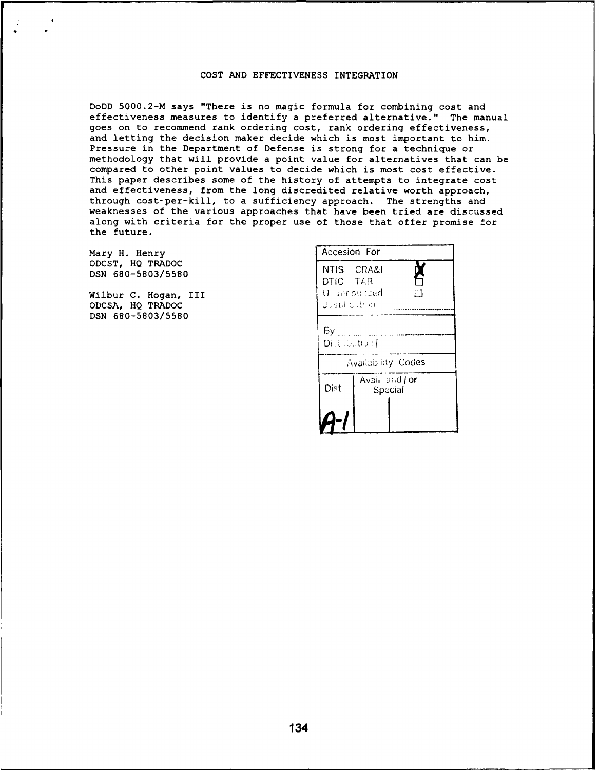## COST AND EFFECTIVENESS INTEGRATION

DoDD 5000.2-M says "There is no magic formula for combining cost and effectiveness measures to identify a preferred alternative." The manual goes on to recommend rank ordering cost, rank ordering effectiveness, and letting the decision maker decide which is most important to him. Pressure in the Department of Defense is strong for a technique or methodology that will provide a point value for alternatives that can be compared to other point values to decide which is most cost effective. This paper describes some of the history of attempts to integrate cost and effectiveness, from the long discredited relative worth approach, through cost-per-kill, to a sufficiency approach. The strengths and weaknesses of the various approaches that have been tried are discussed along with criteria for the proper use of those that offer promise for the future.

Mary H. Henry ODCST, HQ TRADOC DSN 680-5803/5580

Wilbur C. Hogan, III ODCSA, HQ TRADOC DSN 680-5803/5580

| Accesion For                                                 |                           |  |  |
|--------------------------------------------------------------|---------------------------|--|--|
| NTIS CRA&I<br>A<br>DTIC TAB<br>Ur announded<br>dastil culion |                           |  |  |
| Bу<br>Distribution /                                         |                           |  |  |
| Availability Codes                                           |                           |  |  |
| Dist                                                         | Avail and   or<br>Special |  |  |
|                                                              |                           |  |  |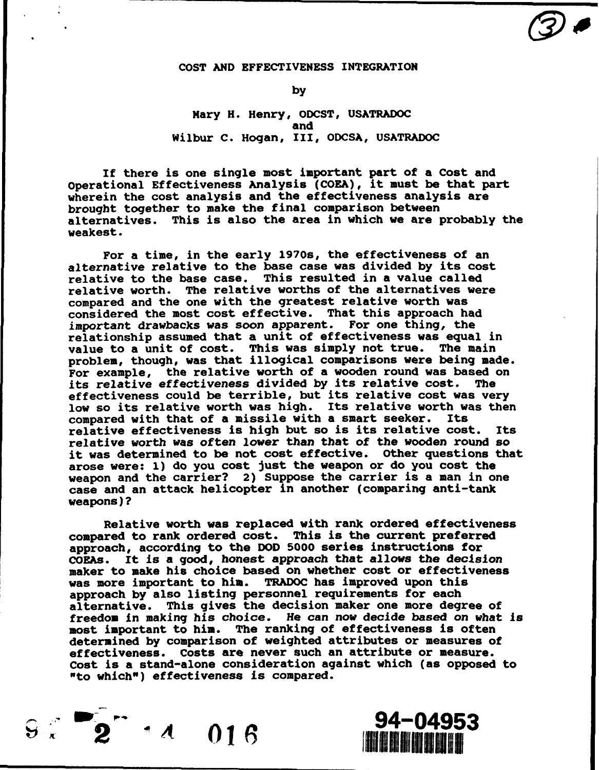## COST AND EFFECTIVENESS INTEGRATION

by

Mary H. Henry, ODCST, USATRADOC and Wilbur C. Hogan, III, ODCSA, USATRADOC

If there is one single most important part of a Cost and Operational Effectiveness Analysis (COEA), it must be that part wherein the cost analysis and the effectiveness analysis are brought together to make the final comparison between alternatives. This is also the area in which we are probably the weakest.

For a time, in the early 1970s, the effectiveness of an alternative relative to the base case was divided by its cost relative to the base case. This resulted in a value called relative worth. The relative worths of the alternatives were compared and the one with the greatest relative worth was considered the most cost effective. That this approach had important drawbacks was soon apparent. For one thing, the relationship assumed that a unit of effectiveness was equal in value to a unit of cost. This was simply not true. The main problem, though, was that illogical comparisons were being made. For example, the relative worth of a wooden round was based on<br>its relative effectiveness divided by its relative cost. The its relative effectiveness divided by its relative cost. effectiveness could be terrible, but its relative cost was very low so its relative worth was high. Its relative worth was then compared with that of a missile with a smart seeker. Its relative effectiveness is high but so is its relative cost. Its relative worth was often lower than that of the wooden round so it was determined to be not cost effective. Other questions that arose were: 1) do you cost just the weapon or do you cost the weapon and the carrier? 2) Suppose the carrier is a man in one case and an attack helicopter in another (comparing anti-tank weapons)?

Relative worth was replaced with rank ordered effectiveness compared to rank ordered cost. This is the current preferred approach, according to the DOD 5000 series instructions for COEAs. It is a good, honest approach that allows the decision maker to make his choice based on whether cost or effectiveness was more important to him. TRADOC has improved upon this approach by also listing personnel requirements for each alternative. This gives the decision maker one more degree of freedom in making his choice. He can now decide based on what is most important to him. The ranking of effectiveness is often determined by comparison of weighted attributes or measures of effectiveness. Costs are never such an attribute or measure. Cost is a stand-alone consideration against which (as opposed to "to which") effectiveness is compared.

**Solution 34-04953**<br>Solution 34-04953

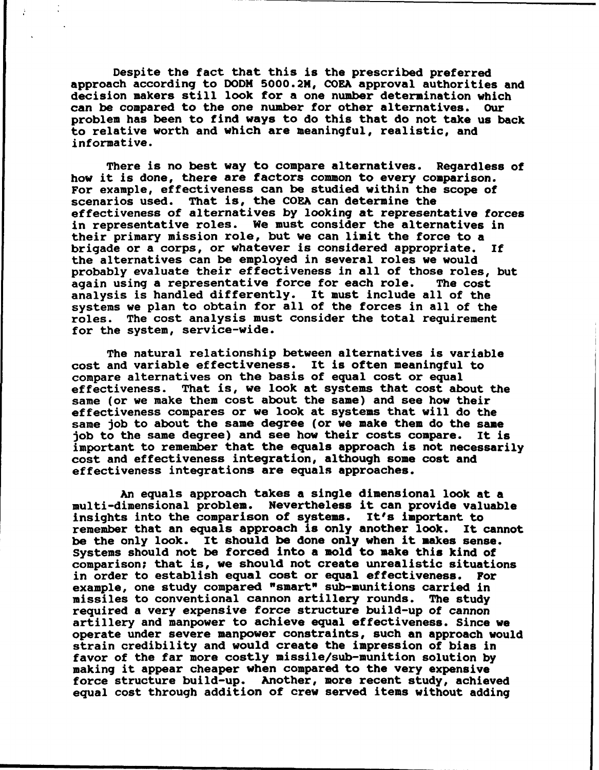Despite the fact that this is the prescribed preferred approach according to DODH 5000.2M, COEA approval authorities and decision makers still look for a one number determination which<br>can be compared to the one number for other alternatives. Our can be compared to the one number for other alternatives. problem has been to find ways to do this that do not take us back to relative worth and which are meaningful, realistic, and informative.

There is no best way to compare alternatives. Regardless of how it is done, there are factors common to every comparison. For example, effectiveness can be studied within the scope of scenarios used. That is, the COEA can determine the effectiveness of alternatives by looking at representative forces in representative roles. We must consider the alternatives in their primary mission role, but we can limit the force to a brigade or a corps, or whatever is considered appropriate. If the alternatives can be employed in several roles we would probably evaluate their effectiveness in all of those roles, but<br>again using a representative force for each role. The cost again using a representative force for each role. analysis is handled differently. It must include all of the systems we plan to obtain for all of the forces in all of the roles. The cost analysis must consider the total requirement for the system, service-wide.

The natural relationship between alternatives is variable cost and variable effectiveness. It is often meaningful to compare alternatives on the basis of equal cost or equal effectiveness. That is, we look at systems that cost about the same (or we make them cost about the same) and see how their effectiveness compares or we look at systems that will do the same job to about the same degree (or we make them do the same job to the same degree) and see how their costs compare. It is important to remember that the equals approach is not necessarily cost and effectiveness integration, although some cost and effectiveness integrations are equals approaches.

An equals approach takes a single dimensional look at a multi-dimensional problem. Nevertheless it can provide valuable insights into the comparison of systems. It's important to remember that an equals approach is only another look. It cannot be the only look. It should be done only when it makes sense. Systems should not be forced into a mold to make this kind of comparison; that is, we should not create unrealistic situations in order to establish equal cost or equal effectiveness. For example, one study compared "smart" sub-munitions carried in missiles to conventional cannon artillery rounds. The study required a very expensive force structure build-up of cannon artillery and manpower to achieve equal effectiveness. Since we operate under severe manpower constraints, such an approach would strain credibility and would create the impression of bias in favor of the far more costly missile/sub-munition solution by making it appear cheaper when compared to the very expensive force structure build-up. Another, more recent study, achieved equal cost through addition of crew served items without adding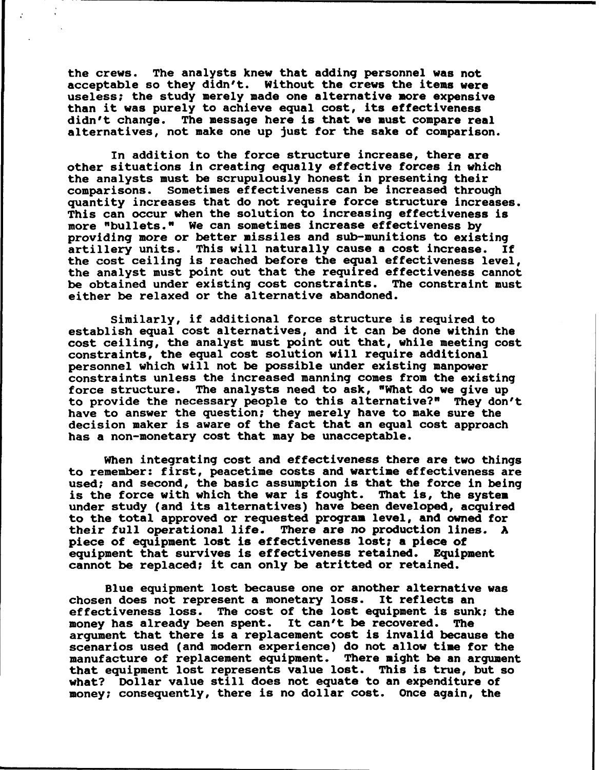the crews. The analysts knew that adding personnel was not acceptable so they didn't. Without the crews the items were useless; the study merely made one alternative more expensive than it was purely to achieve equal cost, its effectiveness didn't change. The message here is that we must compare real alternatives, not make one up just for the sake of comparison.

In addition to the force structure increase, there are other situations in creating equally effective forces in which the analysts must be scrupulously honest in presenting their comparisons. Sometimes effectiveness can be increased through quantity increases that do not require force structure increases. This can occur when the solution to increasing effectiveness is more "bullets." We can sometimes increase effectiveness by providing more or better missiles and sub-munitions to existing artillery units. This will naturally cause a cost increase. If the cost ceiling is reached before the equal effectiveness level. the analyst must point out that the required effectiveness cannot be obtained under existing cost constraints. The constraint must either be relaxed or the alternative abandoned.

Similarly, if additional force structure is required to establish equal cost alternatives, and it can be done within the cost ceiling, the analyst must point out that, while meeting cost constraints, the equal cost solution will require additional personnel which will not be possible under existing manpower constraints unless the increased manning comes from the existing force structure. The analysts need to ask, "What do we give up to provide the necessary people to this alternative?" They don't have to answer the question; they merely have to make sure the decision maker is aware of the fact that an equal cost approach has a non-monetary cost that may be unacceptable.

When integrating cost and effectiveness there are two things to remember: first, peacetime costs and wartime effectiveness are used; and second, the basic assumption is that the force in being is the force with which the war is fought. That is, the system under study (and its alternatives) have been developed, acquired to the total approved or requested program level, and owned for their full operational life. There are no production lines. A piece of equipment lost is effectiveness lost; a piece of equipment that survives is effectiveness retained. Equipment cannot be replaced; it can only be atritted or retained.

Blue equipment lost because one or another alternative was chosen does not represent a monetary loss. It reflects an effectiveness loss. The cost of the lost equipment is sunk; the money has already been spent. It can't be recovered. The argument that there is a replacement cost is invalid because the scenarios used (and modern experience) do not allow time for the manufacture of replacement equipment. There might be an argument that equipment lost represents value lost. This is true, but so what? Dollar value still does not equate to an expenditure of money; consequently, there is no dollar cost. Once again, the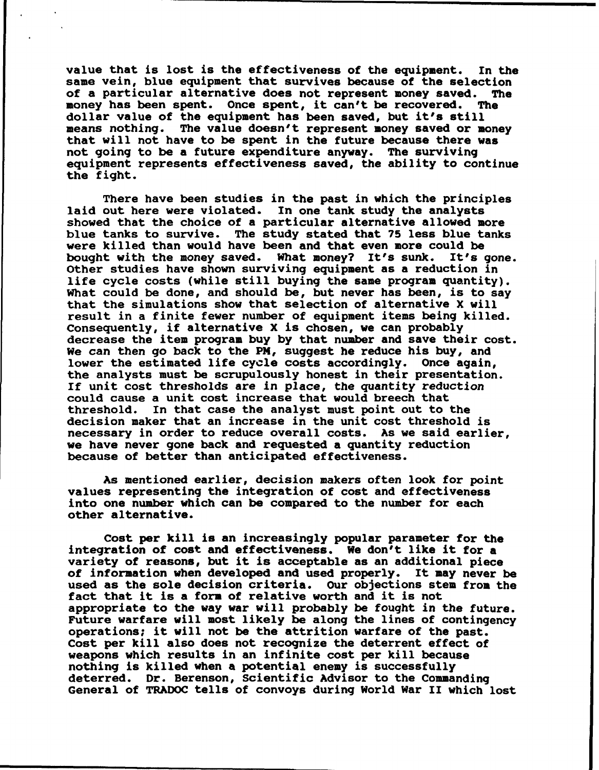value that is lost is the effectiveness of the equipment. In the same vein, blue equipment that survives because of the selection<br>of a particular alternative does not represent money saved. The of a particular alternative does not represent money saved. The<br>money has been spent. Once spent, it can't be recovered. The money has been spent. Once spent, it can't be recovered. dollar value of the equipment has been saved, but it's still means nothing. The value doesn't represent money saved or money that will not have to be spent in the future because there was not going to be a future expenditure anyway. The surviving equipment represents effectiveness saved, the ability to continue the fight.

There have been studies in the past in which the principles laid out here were violated. In one tank study the analysts showed that the choice of a particular alternative allowed more blue tanks to survive. The study stated that 75 less blue tanks were killed than would have been and that even more could be bought with the money saved. What money? It's sunk. It's gone. bought with the money saved. What money? It's sunk. Other studies have shown surviving equipment as a reduction in life cycle costs (while still buying the same program quantity). What could be done, and should be, but never has been, is to say that the simulations show that selection of alternative X will result in a finite fewer number of equipment items being killed. Consequently, if alternative X is chosen, we can probably decrease the item program buy by that number and save their cost. We can then go back to the PM, suggest he reduce his buy, and lower the estimated life cycle costs accordingly. Once again, the analysts must be scrupulously honest in their presentation. If unit cost thresholds are in place, the quantity reduction could cause a unit cost increase that would breech that threshold. In that case the analyst must point out to the decision maker that an increase in the unit cost threshold is necessary in order to reduce overall costs. As we said earlier, we have never gone back and requested a quantity reduction because of better than anticipated effectiveness.

As mentioned earlier, decision makers often look for point values representing the integration of cost and effectiveness into one number which can be compared to the number for each other alternative.

Cost per kill is an increasingly popular parameter for the integration of cost and effectiveness. We don't like it for a variety of reasons, but it is acceptable as an additional piece of information when developed and used properly. It may never be used as the sole decision criteria. Our objections stem from the fact that it is a form of relative worth and it is not appropriate to the way war will probably be fought in the future. Future warfare will most likely be along the lines of contingency operations; it will not be the attrition warfare of the past. Cost per kill also does not recognize the deterrent effect of weapons which results in an infinite cost per kill because nothing is killed when a potential enemy is successfully deterred. Dr. Berenson, Scientific Advisor to the Commanding General of TRADOC tells of convoys during World War II which lost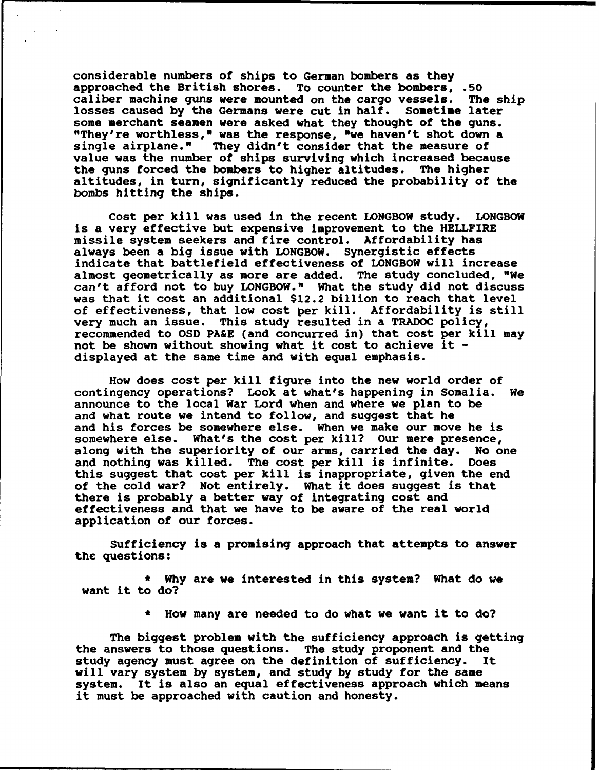considerable numbers of ships to German bombers as they approached the British shores. To counter the bombers, .50 caliber machine guns were mounted on the cargo vessels. The ship losses caused by the Germans were cut in half. Sometime later some merchant seamen were asked what they thought of the guns. "They're worthless," was the response, "we haven't shot down a single airplane." They didn't consider that the measure of They didn't consider that the measure of value was the number of ships surviving which increased because the guns forced the bombers to higher altitudes. The higher altitudes, in turn, significantly reduced the probability of the bombs hitting the ships.

Cost per kill was used in the recent LONGBOW study. LONGBOW is a very effective but expensive improvement to the HELLFIRE missile system seekers and fire control. Affordability has always been a big issue with LONGBOW. Synergistic effects indicate that battlefield effectiveness of LONGBOW will increase almost geometrically as more are added. The study concluded, "We can't afford not to buy LONGBOW." What the study did not discuss was that it cost an additional \$12.2 billion to reach that level of effectiveness, that low cost per kill. Affordability is still very much an issue. This study resulted in a TRADOC policy, recommended to OSD PA&E (and concurred in) that cost per kill may not be shown without showing what it cost to achieve it displayed at the same time and with equal emphasis.

How does cost per kill figure into the new world order of contingency operations? Look at what's happening in Somalia. We announce to the local War Lord when and where we plan to be and what route we intend to follow, and suggest that he and his forces be somewhere else. When we make our move he is somewhere else. What's the cost per kill? Our mere presence,<br>along with the superiority of our arms, carried the day. No one along with the superiority of our arms, carried the day. No only not and nothing was killed. The cost per kill is infinite. Does and nothing was killed. The cost per kill is infinite. this suggest that cost per kill is inappropriate, given the end of the cold war? Not entirely. What it does suggest is that there is probably a better way of integrating cost and effectiveness and that we have to be aware of the real world application of our forces.

Sufficiency is a promising approach that attempts to answer the questions:

\* Why are we interested in this system? What do we want it to do?

\* How many are needed to do what we want it to do?

The biggest problem with the sufficiency approach is getting the answers to those questions. The study proponent and the study agency must agree on the definition of sufficiency. It will vary system by system, and study by study for the same system. It is also an equal effectiveness approach which means it must be approached with caution and honesty.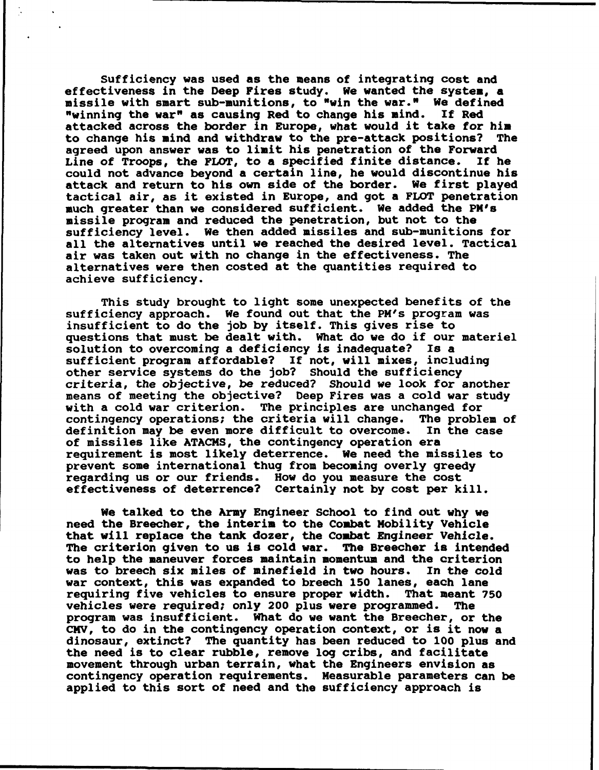Sufficiency was used as the means of integrating cost and effectiveness in the Deep Fires study. We wanted the system, a missile with smart sub-munitions, to "win the war." We defined "winning the war" as causing Red to change his mind. If Red attacked across the border in Europe, what would it take for him to change his mind and withdraw to the pre-attack positions? The agreed upon answer was to limit his penetration of the Forward Line of Troops, the FLOT, to a specified finite distance. If he could not advance beyond a certain line, he would discontinue his attack and return to his own side of the border. We first played tactical air, as it existed in Europe, and got a FLOT penetration much greater than we considered sufficient. We added the PM's missile program and reduced the penetration, but not to the sufficiency level. We then added missiles and sub-munitions for all the alternatives until we reached the desired level. Tactical air was taken out with no change in the effectiveness. The alternatives were then costed at the quantities required to achieve sufficiency.

This study brought to light some unexpected benefits of the sufficiency approach. We found out that the PM's program was insufficient to do the job by itself. This gives rise to questions that must be dealt with. What do we do if our materiel solution to overcoming a deficiency is inadequate? Is a sufficient program affordable? If not, will mixes, including other service systems do the job? Should the sufficiency criteria, the objective, be reduced? Should we look for another means of meeting the objective? Deep Fires was a cold war study with a cold war criterion. The principles are unchanged for contingency operations; the criteria will change. The problem of definition may be even more difficult to overcome. In the case of missiles like ATACMS, the contingency operation era requirement is most likely deterrence. We need the missiles to prevent some international thug from becoming overly greedy regarding us or our friends. How do you measure the cost effectiveness of deterrence? Certainly not by cost per kill.

We talked to the Army Engineer School to find out why we need the Breecher, the interim to the Combat Mobility Vehicle that will replace the tank dozer, the Combat Engineer Vehicle. The criterion given to us is cold war. The Breecher is intended to help the maneuver forces maintain momentum and the criterion was to breech six miles of minefield in two hours. In the cold war context, this was expanded to breech 150 lanes, each lane requiring five vehicles to ensure proper width. That meant 750 vehicles were required; only 200 plus were programmed. The program was insufficient. What do we want the Breecher, or the CMV, to do in the contingency operation context, or is it now a dinosaur, extinct? The quantity has been reduced to 100 plus and the need is to clear rubble, remove log cribs, and facilitate movement through urban terrain, what the Engineers envision as contingency operation requirements. Measurable parameters can be applied to this sort of need and the sufficiency approach is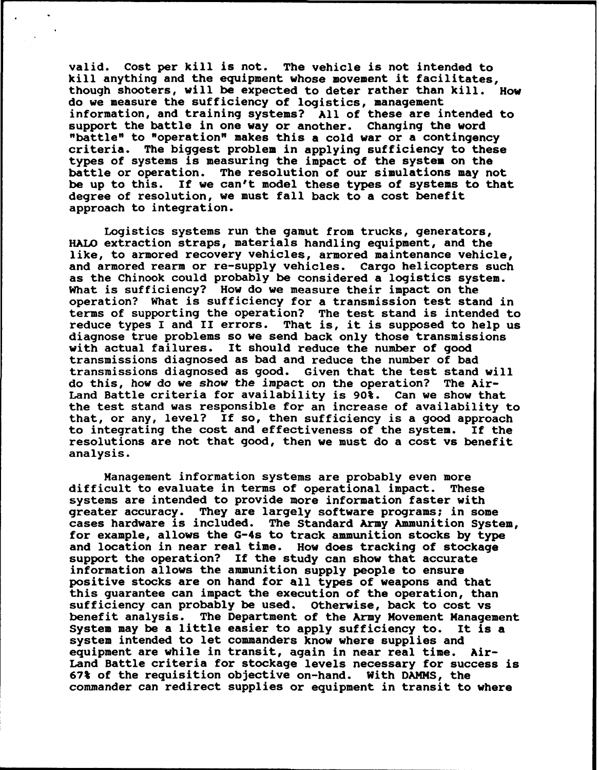valid. Cost per kill is not. The vehicle is not intended to kill anything and the equipment whose movement it facilitates, though shooters, will be expected to deter rather than kill. How do we measure the sufficiency of logistics, management information, and training systems? All of these are intended to support the battle in one way or another. Changing the word "battle" to "operation" makes this a cold war or a contingency criteria. The biggest problem in applying sufficiency to these types of systems is measuring the impact of the system on the battle or operation. The resolution of our simulations may not be up to this. If we can't model these types of systems to that degree of resolution, we must fall back to a cost benefit approach to integration.

Logistics systems run the gamut from trucks, generators, HALO extraction straps, materials handling equipment, and the like, to armored recovery vehicles, armored maintenance vehicle, and armored rearm or re-supply vehicles. Cargo helicopters such as the Chinook could probably be considered a logistics system. What is sufficiency? How do we measure their impact on the operation? What is sufficiency for a transmission test stand in terms of supporting the operation? The test stand is intended to reduce types I and II errors. That is, it is supposed to help us That is, it is supposed to help us diagnose true problems so we send back only those transmissions with actual failures. It should reduce the number of good transmissions diagnosed as bad and reduce the number of bad transmissions diagnosed as good. Given that the test stand will do this, how do we *show* the impact on the operation? The Air-Land Battle criteria for availability is 90%. Can we show that the test stand was responsible for an increase of availability to that, or any, level? If so, then sufficiency is a good approach to integrating the cost and effectiveness of the system. If the resolutions are not that good, then we must do a cost vs benefit analysis.

Management information systems are probably even more difficult to evaluate in terms of operational impact. These systems are intended to provide more information faster with greater accuracy. They are largely software programs; in some cases hardware is included. The Standard Army Ammunition System, for example, allows the G-4s to track ammunition stocks by type and location in near real time. How does tracking of stockage support the operation? If the study can show that accurate information allows the ammunition supply people to ensure positive stocks are on hand for all types of weapons and that this guarantee can impact the execution of the operation, than sufficiency can probably be used. Otherwise, back to cost vs benefit analysis. The Department of the Army Movement Management System may be a little easier to apply sufficiency to. It is a system intended to let commanders know where supplies and equipment are while in transit, again in near real time. Air-Land Battle criteria for stockage levels necessary for success is 67% of the requisition objective on-hand. With DAMMS, the commander can redirect supplies or equipment in transit to where